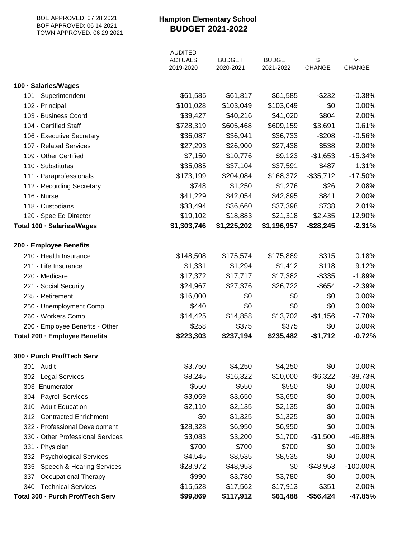| BOE APPROVED: 07 28 2021<br>BOF APPROVED: 06 14 2021<br>TOWN APPROVED: 06 29 2021 | <b>Hampton Elementary School</b><br><b>BUDGET 2021-2022</b> |                            |                            |                     |                |
|-----------------------------------------------------------------------------------|-------------------------------------------------------------|----------------------------|----------------------------|---------------------|----------------|
|                                                                                   | <b>AUDITED</b><br><b>ACTUALS</b><br>2019-2020               | <b>BUDGET</b><br>2020-2021 | <b>BUDGET</b><br>2021-2022 | \$<br><b>CHANGE</b> | $\%$<br>CHANGE |
| 100 · Salaries/Wages                                                              |                                                             |                            |                            |                     |                |
| 101 · Superintendent                                                              | \$61,585                                                    | \$61,817                   | \$61,585                   | $-$ \$232           | $-0.38%$       |
| 102 - Principal                                                                   | \$101,028                                                   | \$103,049                  | \$103,049                  | \$0                 | 0.00%          |
| 103 · Business Coord                                                              | \$39,427                                                    | \$40,216                   | \$41,020                   | \$804               | 2.00%          |
| 104 - Certified Staff                                                             | \$728,319                                                   | \$605,468                  | \$609,159                  | \$3,691             | 0.61%          |
| 106 - Executive Secretary                                                         | \$36,087                                                    | \$36,941                   | \$36,733                   | $-$208$             | $-0.56%$       |
| 107 - Related Services                                                            | \$27,293                                                    | \$26,900                   | \$27,438                   | \$538               | 2.00%          |
| 109 · Other Certified                                                             | \$7,150                                                     | \$10,776                   | \$9,123                    | $-$1,653$           | $-15.34%$      |
| 110 · Substitutes                                                                 | \$35,085                                                    | \$37,104                   | \$37,591                   | \$487               | 1.31%          |
| 111 Paraprofessionals                                                             | \$173,199                                                   | \$204,084                  | \$168,372                  | $-$ \$35,712        | $-17.50%$      |
| 112 - Recording Secretary                                                         | \$748                                                       | \$1,250                    | \$1,276                    | \$26                | 2.08%          |
| $116 \cdot$ Nurse                                                                 | \$41,229                                                    | \$42,054                   | \$42,895                   | \$841               | 2.00%          |
| 118 - Custodians                                                                  | \$33,494                                                    | \$36,660                   | \$37,398                   | \$738               | 2.01%          |
| 120 · Spec Ed Director                                                            | \$19,102                                                    | \$18,883                   | \$21,318                   | \$2,435             | 12.90%         |
| Total 100 · Salaries/Wages                                                        | \$1,303,746                                                 | \$1,225,202                | \$1,196,957                | $-$28,245$          | $-2.31%$       |
| 200 · Employee Benefits                                                           |                                                             |                            |                            |                     |                |
| 210 · Health Insurance                                                            | \$148,508                                                   | \$175,574                  | \$175,889                  | \$315               | 0.18%          |
| 211 - Life Insurance                                                              | \$1,331                                                     | \$1,294                    | \$1,412                    | \$118               | 9.12%          |
| 220 · Medicare                                                                    | \$17,372                                                    | \$17,717                   | \$17,382                   | $-$ \$335           | $-1.89%$       |
| 221 · Social Security                                                             | \$24,967                                                    | \$27,376                   | \$26,722                   | $-$ \$654           | $-2.39%$       |
| 235 - Retirement                                                                  | \$16,000                                                    | \$0                        | \$0                        | \$0                 | 0.00%          |
| 250 · Unemployment Comp                                                           | \$440                                                       | \$0                        | \$0                        | \$0                 | 0.00%          |
| 260 · Workers Comp                                                                | \$14,425                                                    | \$14,858                   | \$13,702                   | $-$1,156$           | $-7.78%$       |
| 200 · Employee Benefits - Other                                                   | \$258                                                       | \$375                      | \$375                      | \$0                 | 0.00%          |
| Total 200 · Employee Benefits                                                     | \$223,303                                                   | \$237,194                  | \$235,482                  | $-$1,712$           | $-0.72%$       |
| 300 - Purch Prof/Tech Serv                                                        |                                                             |                            |                            |                     |                |
| 301 · Audit                                                                       | \$3,750                                                     | \$4,250                    | \$4,250                    | \$0                 | 0.00%          |
| 302 · Legal Services                                                              | \$8,245                                                     | \$16,322                   | \$10,000                   | $-$ \$6,322         | $-38.73%$      |
| 303 - Enumerator                                                                  | \$550                                                       | \$550                      | \$550                      | \$0                 | 0.00%          |
| 304 · Payroll Services                                                            | \$3,069                                                     | \$3,650                    | \$3,650                    | \$0                 | 0.00%          |
| 310 - Adult Education                                                             | \$2,110                                                     | \$2,135                    | \$2,135                    | \$0                 | 0.00%          |
| 312 - Contracted Enrichment                                                       | \$0                                                         | \$1,325                    | \$1,325                    | \$0                 | 0.00%          |
| 322 · Professional Development                                                    | \$28,328                                                    | \$6,950                    | \$6,950                    | \$0                 | 0.00%          |
| 330 Other Professional Services                                                   | \$3,083                                                     | \$3,200                    | \$1,700                    | $-$1,500$           | -46.88%        |
| 331 - Physician                                                                   | \$700                                                       | \$700                      | \$700                      | \$0                 | 0.00%          |
| 332 · Psychological Services                                                      | \$4,545                                                     | \$8,535                    | \$8,535                    | \$0                 | 0.00%          |
| 335 · Speech & Hearing Services                                                   | \$28,972                                                    | \$48,953                   | \$0                        | $-$ \$48,953        | $-100.00\%$    |
| 337 - Occupational Therapy                                                        | \$990                                                       | \$3,780                    | \$3,780                    | \$0                 | 0.00%          |
| 340 · Technical Services                                                          | \$15,528                                                    | \$17,562                   | \$17,913                   | \$351               | 2.00%          |
| Total 300 · Purch Prof/Tech Serv                                                  | \$99,869                                                    | \$117,912                  | \$61,488                   | $-$56,424$          | -47.85%        |